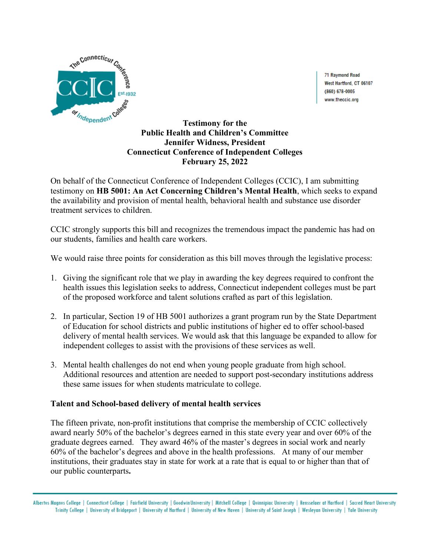

71 Raymond Road West Hartford, CT 06107 (860) 678-0005 www.theccic.org

## **Testimony for the Public Health and Children's Committee Jennifer Widness, President Connecticut Conference of Independent Colleges February 25, 2022**

On behalf of the Connecticut Conference of Independent Colleges (CCIC), I am submitting testimony on **HB 5001: An Act Concerning Children's Mental Health**, which seeks to expand the availability and provision of mental health, behavioral health and substance use disorder treatment services to children.

CCIC strongly supports this bill and recognizes the tremendous impact the pandemic has had on our students, families and health care workers.

We would raise three points for consideration as this bill moves through the legislative process:

- 1. Giving the significant role that we play in awarding the key degrees required to confront the health issues this legislation seeks to address, Connecticut independent colleges must be part of the proposed workforce and talent solutions crafted as part of this legislation.
- 2. In particular, Section 19 of HB 5001 authorizes a grant program run by the State Department of Education for school districts and public institutions of higher ed to offer school-based delivery of mental health services. We would ask that this language be expanded to allow for independent colleges to assist with the provisions of these services as well.
- 3. Mental health challenges do not end when young people graduate from high school. Additional resources and attention are needed to support post-secondary institutions address these same issues for when students matriculate to college.

## **Talent and School-based delivery of mental health services**

The fifteen private, non-profit institutions that comprise the membership of CCIC collectively award nearly 50% of the bachelor's degrees earned in this state every year and over 60% of the graduate degrees earned. They award 46% of the master's degrees in social work and nearly 60% of the bachelor's degrees and above in the health professions. At many of our member institutions, their graduates stay in state for work at a rate that is equal to or higher than that of our public counterparts**.** 

Albertus Magnus College | Connecticut College | Fairfield University | Goodwin University | Mitchell College | Quinnipiac University | Rensselaer at Hartford | Sacred Heart University